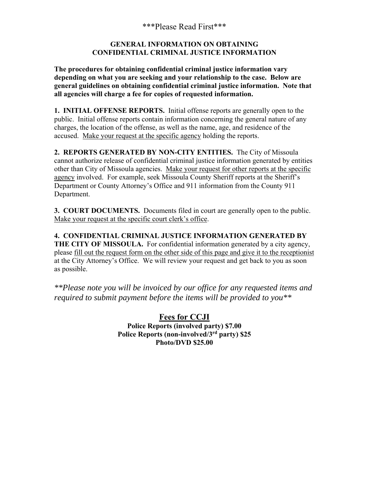\*\*\*Please Read First\*\*\*

## **GENERAL INFORMATION ON OBTAINING CONFIDENTIAL CRIMINAL JUSTICE INFORMATION**

**The procedures for obtaining confidential criminal justice information vary depending on what you are seeking and your relationship to the case. Below are general guidelines on obtaining confidential criminal justice information. Note that all agencies will charge a fee for copies of requested information.** 

**1. INITIAL OFFENSE REPORTS.** Initial offense reports are generally open to the public. Initial offense reports contain information concerning the general nature of any charges, the location of the offense, as well as the name, age, and residence of the accused. Make your request at the specific agency holding the reports.

**2. REPORTS GENERATED BY NON-CITY ENTITIES.** The City of Missoula cannot authorize release of confidential criminal justice information generated by entities other than City of Missoula agencies. Make your request for other reports at the specific agency involved. For example, seek Missoula County Sheriff reports at the Sheriff's Department or County Attorney's Office and 911 information from the County 911 Department.

**3. COURT DOCUMENTS.** Documents filed in court are generally open to the public. Make your request at the specific court clerk's office.

**4. CONFIDENTIAL CRIMINAL JUSTICE INFORMATION GENERATED BY THE CITY OF MISSOULA.** For confidential information generated by a city agency, please fill out the request form on the other side of this page and give it to the receptionist at the City Attorney's Office. We will review your request and get back to you as soon as possible.

*\*\*Please note you will be invoiced by our office for any requested items and required to submit payment before the items will be provided to you\*\** 

> **Fees for CCJI Police Reports (involved party) \$7.00 Police Reports (non-involved/3rd party) \$25 Photo/DVD \$25.00**